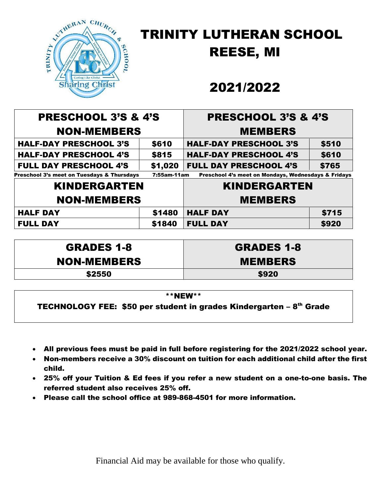

# TRINITY LUTHERAN SCHOOL REESE, MI

## 2021/2022

| <b>PRESCHOOL 3'S &amp; 4'S</b>                        |             | <b>PRESCHOOL 3'S &amp; 4'S</b>                      |       |  |  |  |  |  |  |
|-------------------------------------------------------|-------------|-----------------------------------------------------|-------|--|--|--|--|--|--|
| <b>NON-MEMBERS</b>                                    |             | <b>MEMBERS</b>                                      |       |  |  |  |  |  |  |
| <b>HALF-DAY PRESCHOOL 3'S</b>                         | \$610       | <b>HALF-DAY PRESCHOOL 3'S</b>                       | \$510 |  |  |  |  |  |  |
| <b>HALF-DAY PRESCHOOL 4'S</b>                         | \$815       | <b>HALF-DAY PRESCHOOL 4'S</b>                       | \$610 |  |  |  |  |  |  |
| <b>FULL DAY PRESCHOOL 4'S</b>                         | \$1,020     | <b>FULL DAY PRESCHOOL 4'S</b>                       | \$765 |  |  |  |  |  |  |
| <b>Preschool 3's meet on Tuesdays &amp; Thursdays</b> | 7:55am-11am | Preschool 4's meet on Mondays, Wednesdays & Fridays |       |  |  |  |  |  |  |
| <b>KINDERGARTEN</b>                                   |             | <b>KINDERGARTEN</b>                                 |       |  |  |  |  |  |  |
| <b>NON-MEMBERS</b>                                    |             | <b>MEMBERS</b>                                      |       |  |  |  |  |  |  |
| <b>HALF DAY</b>                                       | \$1480      | <b>HALF DAY</b>                                     | \$715 |  |  |  |  |  |  |
| <b>FULL DAY</b>                                       | \$1840      | <b>FULL DAY</b>                                     | \$920 |  |  |  |  |  |  |

| <b>GRADES 1-8</b>  | <b>GRADES 1-8</b> |
|--------------------|-------------------|
| <b>NON-MEMBERS</b> | <b>MEMBERS</b>    |
| \$2550             | \$920             |

\*\*NEW\*\*

TECHNOLOGY FEE: \$50 per student in grades Kindergarten – 8<sup>th</sup> Grade

- All previous fees must be paid in full before registering for the 2021/2022 school year.
- Non-members receive a 30% discount on tuition for each additional child after the first child.
- 25% off your Tuition & Ed fees if you refer a new student on a one-to-one basis. The referred student also receives 25% off.
- Please call the school office at 989-868-4501 for more information.

Financial Aid may be available for those who qualify.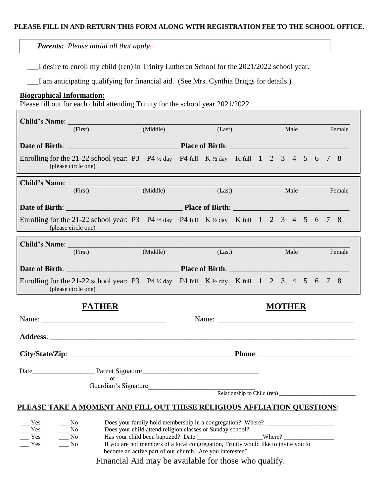#### **PLEASE FILL IN AND RETURN THIS FORM ALONG WITH REGISTRATION FEE TO THE SCHOOL OFFICE.**

| 'LEASE FILL IN AND RETURN THIS FORM ALONG WITH REGISTRATION FEE TO THE SCHOOL OFFICI |  |
|--------------------------------------------------------------------------------------|--|
| <b>Parents:</b> Please initial all that apply.                                       |  |

\_\_\_I desire to enroll my child (ren) in Trinity Lutheran School for the 2021/2022 school year.

\_\_\_I am anticipating qualifying for financial aid. (See Mrs. Cynthia Briggs for details.)

### **Biographical Information:**

Please fill out for each child attending Trinity for the school year 2021/2022.

|                                                                                                                                                                                                                                                                                                                       | (First)                                                                                                                                                                                                                                                        |  | (Middle) |        | (Last) |  |  |             |               |      | <b>Example 3 Male</b> Remale |  |  |        |  |  |
|-----------------------------------------------------------------------------------------------------------------------------------------------------------------------------------------------------------------------------------------------------------------------------------------------------------------------|----------------------------------------------------------------------------------------------------------------------------------------------------------------------------------------------------------------------------------------------------------------|--|----------|--------|--------|--|--|-------------|---------------|------|------------------------------|--|--|--------|--|--|
|                                                                                                                                                                                                                                                                                                                       |                                                                                                                                                                                                                                                                |  |          |        |        |  |  |             |               |      |                              |  |  |        |  |  |
|                                                                                                                                                                                                                                                                                                                       | Enrolling for the 21-22 school year: P3 P4 $\frac{1}{2}$ day P4 full K $\frac{1}{2}$ day K full 1 2 3 4 5 6 7 8<br>(please circle one)                                                                                                                         |  |          |        |        |  |  |             |               |      |                              |  |  |        |  |  |
|                                                                                                                                                                                                                                                                                                                       |                                                                                                                                                                                                                                                                |  |          |        |        |  |  |             |               |      |                              |  |  |        |  |  |
|                                                                                                                                                                                                                                                                                                                       | (First)                                                                                                                                                                                                                                                        |  | (Middle) | (Last) |        |  |  | <b>Male</b> |               |      |                              |  |  | Female |  |  |
|                                                                                                                                                                                                                                                                                                                       |                                                                                                                                                                                                                                                                |  |          |        |        |  |  |             |               |      |                              |  |  |        |  |  |
|                                                                                                                                                                                                                                                                                                                       | Enrolling for the 21-22 school year: P3 P4 $\frac{1}{2}$ day P4 full K $\frac{1}{2}$ day K full 1 2 3 4 5 6 7 8<br>(please circle one)<br><u> 1980 - Jan Sterling von de Berling von de Berling von de Berling von de Berling von de Berling von de Berlin</u> |  |          |        |        |  |  |             |               |      |                              |  |  |        |  |  |
|                                                                                                                                                                                                                                                                                                                       | (First)                                                                                                                                                                                                                                                        |  | (Middle) |        | (Last) |  |  |             |               | Male |                              |  |  | Female |  |  |
|                                                                                                                                                                                                                                                                                                                       |                                                                                                                                                                                                                                                                |  |          |        |        |  |  |             |               |      |                              |  |  |        |  |  |
|                                                                                                                                                                                                                                                                                                                       | Enrolling for the 21-22 school year: P3 P4 $\frac{1}{2}$ day P4 full K $\frac{1}{2}$ day K full 1 2 3 4 5 6 7 8<br>(please circle one)                                                                                                                         |  |          |        |        |  |  |             |               |      |                              |  |  |        |  |  |
|                                                                                                                                                                                                                                                                                                                       | <b>FATHER</b>                                                                                                                                                                                                                                                  |  |          |        |        |  |  |             | <b>MOTHER</b> |      |                              |  |  |        |  |  |
|                                                                                                                                                                                                                                                                                                                       |                                                                                                                                                                                                                                                                |  |          |        |        |  |  |             |               |      |                              |  |  |        |  |  |
|                                                                                                                                                                                                                                                                                                                       |                                                                                                                                                                                                                                                                |  |          |        |        |  |  |             |               |      |                              |  |  |        |  |  |
|                                                                                                                                                                                                                                                                                                                       |                                                                                                                                                                                                                                                                |  |          |        |        |  |  |             |               |      |                              |  |  |        |  |  |
|                                                                                                                                                                                                                                                                                                                       |                                                                                                                                                                                                                                                                |  |          |        |        |  |  |             |               |      |                              |  |  |        |  |  |
| $\alpha$<br>Guardian's Signature<br>Relationship to Child (ren)                                                                                                                                                                                                                                                       |                                                                                                                                                                                                                                                                |  |          |        |        |  |  |             |               |      |                              |  |  |        |  |  |
|                                                                                                                                                                                                                                                                                                                       |                                                                                                                                                                                                                                                                |  |          |        |        |  |  |             |               |      |                              |  |  |        |  |  |
|                                                                                                                                                                                                                                                                                                                       | PLEASE TAKE A MOMENT AND FILL OUT THESE RELIGIOUS AFFLIATION QUESTIONS:                                                                                                                                                                                        |  |          |        |        |  |  |             |               |      |                              |  |  |        |  |  |
| Does your family hold membership in a congregation? Where?<br>$\frac{1}{\sqrt{1}}$ No<br>Yes<br>Does your child attend religion classes or Sunday school?<br>Yes<br>$\_\_$ No<br>Yes<br>$\overline{\phantom{1}}$ No<br>Yes<br>$\overline{\phantom{0}}$ No<br>become an active part of our church. Are you interested? |                                                                                                                                                                                                                                                                |  |          |        |        |  |  |             |               |      |                              |  |  |        |  |  |
|                                                                                                                                                                                                                                                                                                                       | Financial Aid may be available for those who qualify.                                                                                                                                                                                                          |  |          |        |        |  |  |             |               |      |                              |  |  |        |  |  |